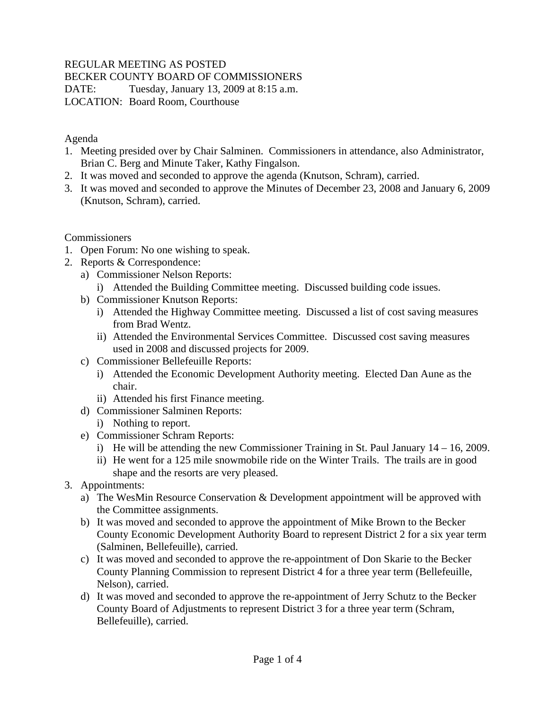# REGULAR MEETING AS POSTED

BECKER COUNTY BOARD OF COMMISSIONERS

DATE: Tuesday, January 13, 2009 at 8:15 a.m. LOCATION: Board Room, Courthouse

### Agenda

- 1. Meeting presided over by Chair Salminen. Commissioners in attendance, also Administrator, Brian C. Berg and Minute Taker, Kathy Fingalson.
- 2. It was moved and seconded to approve the agenda (Knutson, Schram), carried.
- 3. It was moved and seconded to approve the Minutes of December 23, 2008 and January 6, 2009 (Knutson, Schram), carried.

## **Commissioners**

- 1. Open Forum: No one wishing to speak.
- 2. Reports & Correspondence:
	- a) Commissioner Nelson Reports:
		- i) Attended the Building Committee meeting. Discussed building code issues.
	- b) Commissioner Knutson Reports:
		- i) Attended the Highway Committee meeting. Discussed a list of cost saving measures from Brad Wentz.
		- ii) Attended the Environmental Services Committee. Discussed cost saving measures used in 2008 and discussed projects for 2009.
	- c) Commissioner Bellefeuille Reports:
		- i) Attended the Economic Development Authority meeting. Elected Dan Aune as the chair.
		- ii) Attended his first Finance meeting.
	- d) Commissioner Salminen Reports:
		- i) Nothing to report.
	- e) Commissioner Schram Reports:
		- i) He will be attending the new Commissioner Training in St. Paul January 14 16, 2009.
		- ii) He went for a 125 mile snowmobile ride on the Winter Trails. The trails are in good shape and the resorts are very pleased.
- 3. Appointments:
	- a) The WesMin Resource Conservation & Development appointment will be approved with the Committee assignments.
	- b) It was moved and seconded to approve the appointment of Mike Brown to the Becker County Economic Development Authority Board to represent District 2 for a six year term (Salminen, Bellefeuille), carried.
	- c) It was moved and seconded to approve the re-appointment of Don Skarie to the Becker County Planning Commission to represent District 4 for a three year term (Bellefeuille, Nelson), carried.
	- d) It was moved and seconded to approve the re-appointment of Jerry Schutz to the Becker County Board of Adjustments to represent District 3 for a three year term (Schram, Bellefeuille), carried.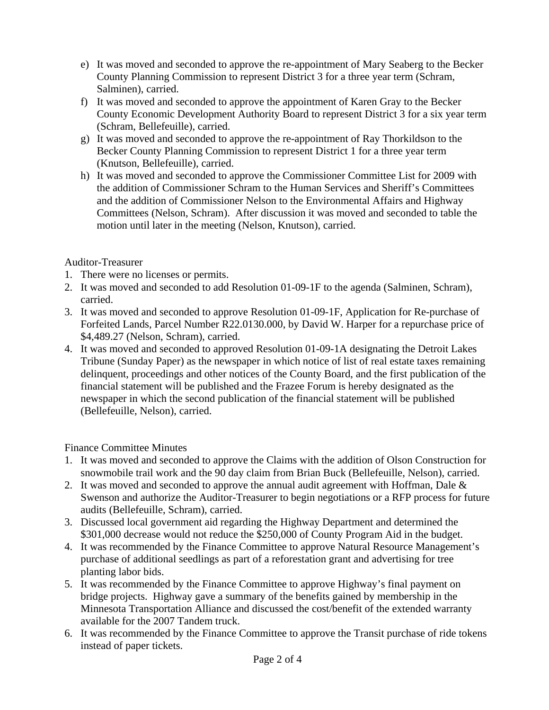- e) It was moved and seconded to approve the re-appointment of Mary Seaberg to the Becker County Planning Commission to represent District 3 for a three year term (Schram, Salminen), carried.
- f) It was moved and seconded to approve the appointment of Karen Gray to the Becker County Economic Development Authority Board to represent District 3 for a six year term (Schram, Bellefeuille), carried.
- g) It was moved and seconded to approve the re-appointment of Ray Thorkildson to the Becker County Planning Commission to represent District 1 for a three year term (Knutson, Bellefeuille), carried.
- h) It was moved and seconded to approve the Commissioner Committee List for 2009 with the addition of Commissioner Schram to the Human Services and Sheriff's Committees and the addition of Commissioner Nelson to the Environmental Affairs and Highway Committees (Nelson, Schram). After discussion it was moved and seconded to table the motion until later in the meeting (Nelson, Knutson), carried.

# Auditor-Treasurer

- 1. There were no licenses or permits.
- 2. It was moved and seconded to add Resolution 01-09-1F to the agenda (Salminen, Schram), carried.
- 3. It was moved and seconded to approve Resolution 01-09-1F, Application for Re-purchase of Forfeited Lands, Parcel Number R22.0130.000, by David W. Harper for a repurchase price of \$4,489.27 (Nelson, Schram), carried.
- 4. It was moved and seconded to approved Resolution 01-09-1A designating the Detroit Lakes Tribune (Sunday Paper) as the newspaper in which notice of list of real estate taxes remaining delinquent, proceedings and other notices of the County Board, and the first publication of the financial statement will be published and the Frazee Forum is hereby designated as the newspaper in which the second publication of the financial statement will be published (Bellefeuille, Nelson), carried.

# Finance Committee Minutes

- 1. It was moved and seconded to approve the Claims with the addition of Olson Construction for snowmobile trail work and the 90 day claim from Brian Buck (Bellefeuille, Nelson), carried.
- 2. It was moved and seconded to approve the annual audit agreement with Hoffman, Dale  $\&$ Swenson and authorize the Auditor-Treasurer to begin negotiations or a RFP process for future audits (Bellefeuille, Schram), carried.
- 3. Discussed local government aid regarding the Highway Department and determined the \$301,000 decrease would not reduce the \$250,000 of County Program Aid in the budget.
- 4. It was recommended by the Finance Committee to approve Natural Resource Management's purchase of additional seedlings as part of a reforestation grant and advertising for tree planting labor bids.
- 5. It was recommended by the Finance Committee to approve Highway's final payment on bridge projects. Highway gave a summary of the benefits gained by membership in the Minnesota Transportation Alliance and discussed the cost/benefit of the extended warranty available for the 2007 Tandem truck.
- 6. It was recommended by the Finance Committee to approve the Transit purchase of ride tokens instead of paper tickets.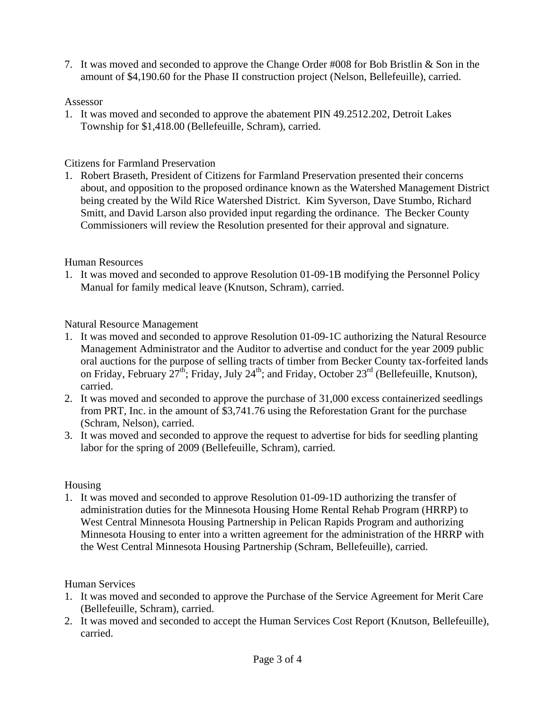7. It was moved and seconded to approve the Change Order #008 for Bob Bristlin & Son in the amount of \$4,190.60 for the Phase II construction project (Nelson, Bellefeuille), carried.

## Assessor

1. It was moved and seconded to approve the abatement PIN 49.2512.202, Detroit Lakes Township for \$1,418.00 (Bellefeuille, Schram), carried.

## Citizens for Farmland Preservation

1. Robert Braseth, President of Citizens for Farmland Preservation presented their concerns about, and opposition to the proposed ordinance known as the Watershed Management District being created by the Wild Rice Watershed District. Kim Syverson, Dave Stumbo, Richard Smitt, and David Larson also provided input regarding the ordinance. The Becker County Commissioners will review the Resolution presented for their approval and signature.

## Human Resources

1. It was moved and seconded to approve Resolution 01-09-1B modifying the Personnel Policy Manual for family medical leave (Knutson, Schram), carried.

Natural Resource Management

- 1. It was moved and seconded to approve Resolution 01-09-1C authorizing the Natural Resource Management Administrator and the Auditor to advertise and conduct for the year 2009 public oral auctions for the purpose of selling tracts of timber from Becker County tax-forfeited lands on Friday, February  $27<sup>th</sup>$ ; Friday, July  $24<sup>th</sup>$ ; and Friday, October  $23<sup>rd</sup>$  (Bellefeuille, Knutson), carried.
- 2. It was moved and seconded to approve the purchase of 31,000 excess containerized seedlings from PRT, Inc. in the amount of \$3,741.76 using the Reforestation Grant for the purchase (Schram, Nelson), carried.
- 3. It was moved and seconded to approve the request to advertise for bids for seedling planting labor for the spring of 2009 (Bellefeuille, Schram), carried.

#### Housing

1. It was moved and seconded to approve Resolution 01-09-1D authorizing the transfer of administration duties for the Minnesota Housing Home Rental Rehab Program (HRRP) to West Central Minnesota Housing Partnership in Pelican Rapids Program and authorizing Minnesota Housing to enter into a written agreement for the administration of the HRRP with the West Central Minnesota Housing Partnership (Schram, Bellefeuille), carried.

# Human Services

- 1. It was moved and seconded to approve the Purchase of the Service Agreement for Merit Care (Bellefeuille, Schram), carried.
- 2. It was moved and seconded to accept the Human Services Cost Report (Knutson, Bellefeuille), carried.